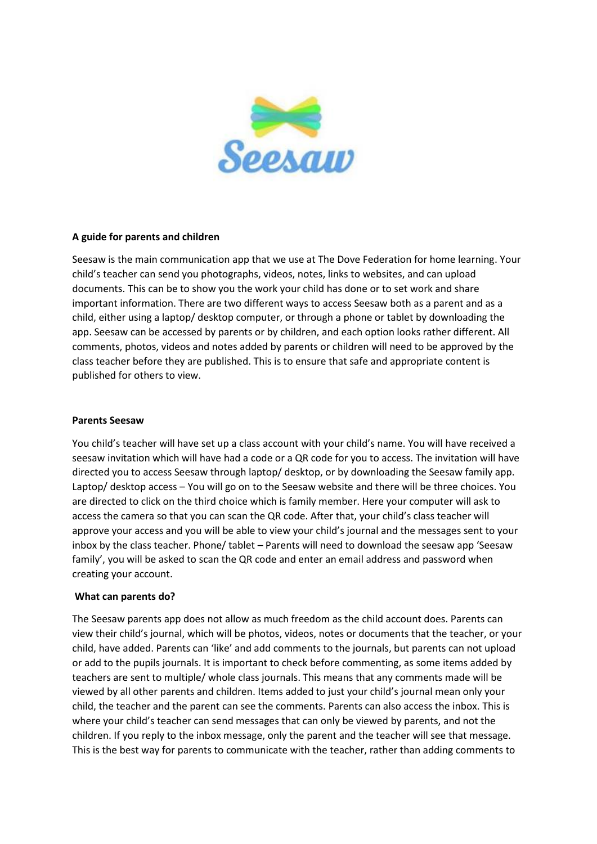

# **A guide for parents and children**

Seesaw is the main communication app that we use at The Dove Federation for home learning. Your child's teacher can send you photographs, videos, notes, links to websites, and can upload documents. This can be to show you the work your child has done or to set work and share important information. There are two different ways to access Seesaw both as a parent and as a child, either using a laptop/ desktop computer, or through a phone or tablet by downloading the app. Seesaw can be accessed by parents or by children, and each option looks rather different. All comments, photos, videos and notes added by parents or children will need to be approved by the class teacher before they are published. This is to ensure that safe and appropriate content is published for others to view.

## **Parents Seesaw**

You child's teacher will have set up a class account with your child's name. You will have received a seesaw invitation which will have had a code or a QR code for you to access. The invitation will have directed you to access Seesaw through laptop/ desktop, or by downloading the Seesaw family app. Laptop/ desktop access – You will go on to the Seesaw website and there will be three choices. You are directed to click on the third choice which is family member. Here your computer will ask to access the camera so that you can scan the QR code. After that, your child's class teacher will approve your access and you will be able to view your child's journal and the messages sent to your inbox by the class teacher. Phone/ tablet – Parents will need to download the seesaw app 'Seesaw family', you will be asked to scan the QR code and enter an email address and password when creating your account.

# **What can parents do?**

The Seesaw parents app does not allow as much freedom as the child account does. Parents can view their child's journal, which will be photos, videos, notes or documents that the teacher, or your child, have added. Parents can 'like' and add comments to the journals, but parents can not upload or add to the pupils journals. It is important to check before commenting, as some items added by teachers are sent to multiple/ whole class journals. This means that any comments made will be viewed by all other parents and children. Items added to just your child's journal mean only your child, the teacher and the parent can see the comments. Parents can also access the inbox. This is where your child's teacher can send messages that can only be viewed by parents, and not the children. If you reply to the inbox message, only the parent and the teacher will see that message. This is the best way for parents to communicate with the teacher, rather than adding comments to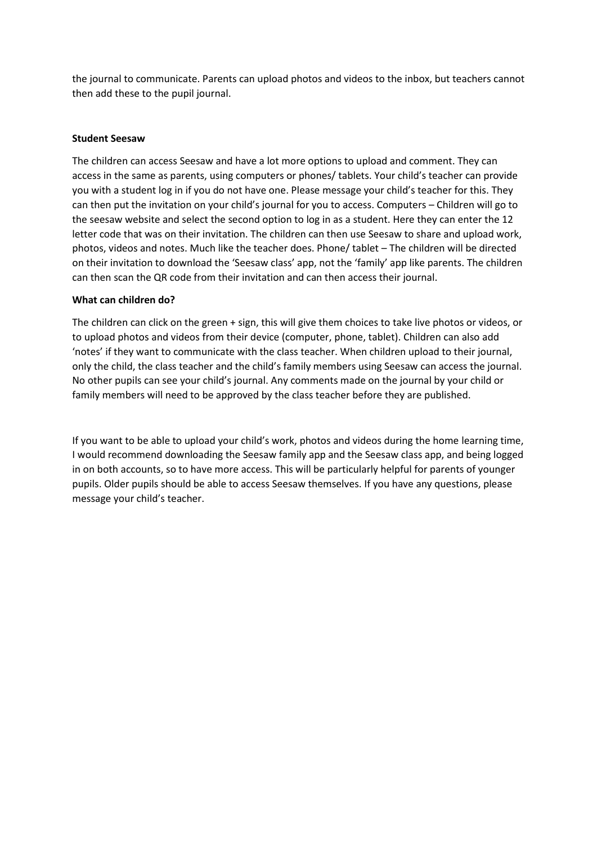the journal to communicate. Parents can upload photos and videos to the inbox, but teachers cannot then add these to the pupil journal.

# **Student Seesaw**

The children can access Seesaw and have a lot more options to upload and comment. They can access in the same as parents, using computers or phones/ tablets. Your child's teacher can provide you with a student log in if you do not have one. Please message your child's teacher for this. They can then put the invitation on your child's journal for you to access. Computers – Children will go to the seesaw website and select the second option to log in as a student. Here they can enter the 12 letter code that was on their invitation. The children can then use Seesaw to share and upload work, photos, videos and notes. Much like the teacher does. Phone/ tablet – The children will be directed on their invitation to download the 'Seesaw class' app, not the 'family' app like parents. The children can then scan the QR code from their invitation and can then access their journal.

## **What can children do?**

The children can click on the green + sign, this will give them choices to take live photos or videos, or to upload photos and videos from their device (computer, phone, tablet). Children can also add 'notes' if they want to communicate with the class teacher. When children upload to their journal, only the child, the class teacher and the child's family members using Seesaw can access the journal. No other pupils can see your child's journal. Any comments made on the journal by your child or family members will need to be approved by the class teacher before they are published.

If you want to be able to upload your child's work, photos and videos during the home learning time, I would recommend downloading the Seesaw family app and the Seesaw class app, and being logged in on both accounts, so to have more access. This will be particularly helpful for parents of younger pupils. Older pupils should be able to access Seesaw themselves. If you have any questions, please message your child's teacher.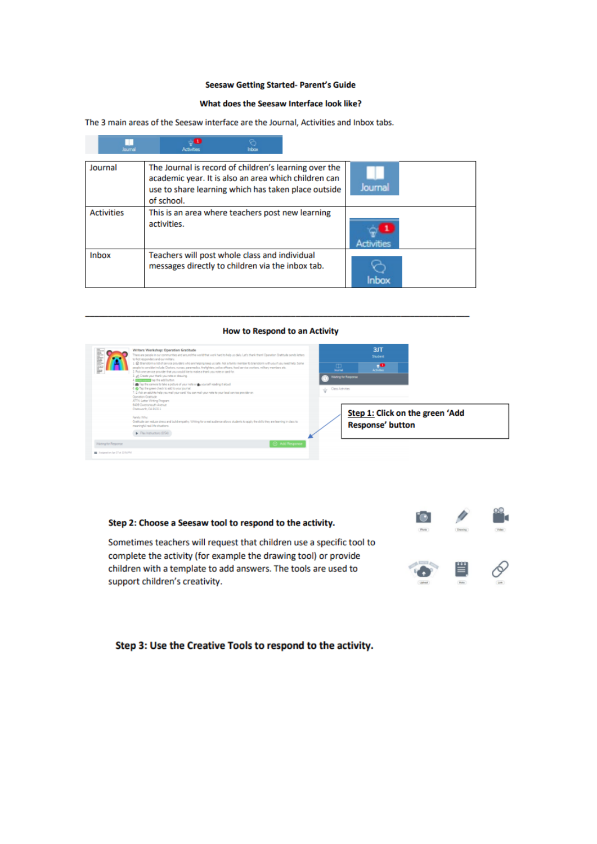## **Seesaw Getting Started- Parent's Guide**

## What does the Seesaw Interface look like?

The 3 main areas of the Seesaw interface are the Journal, Activities and Inbox tabs.

| lourne            | Inbox                                                                                                                                                                              |                   |  |
|-------------------|------------------------------------------------------------------------------------------------------------------------------------------------------------------------------------|-------------------|--|
| Journal           | The Journal is record of children's learning over the<br>academic year. It is also an area which children can<br>use to share learning which has taken place outside<br>of school. | Journal           |  |
| <b>Activities</b> | This is an area where teachers post new learning<br>activities.                                                                                                                    | <b>Activities</b> |  |
| <b>Inbox</b>      | Teachers will post whole class and individual<br>messages directly to children via the inbox tab.                                                                                  | <b>Inhov</b>      |  |

#### How to Respond to an Activity

| <b>Jul-Buld Ji</b>                                         | Writers Workshop: Operation Gratitude<br>There are people in our communities and around the world that work hard to help us daily. Let's thank them! Operation Dratitude sends letters<br>to first responders and our military.<br>1. @ Brainstorm a list of parvice providers who are helping keep us safe. Ask a family member to brainstorm with you if you need help. Some<br>people to consider include Doctors, nurses, paramedics, firefighters, police officers, food service workers, military members etc.<br>2. Pick one service provider that you would like to make a thank you note or card for<br>1 g6 Create your thank you note or drawing.<br>4. DESIGNING top the add button.<br>The the comera to take a picture of your role or the yourself reading it about.<br>6. O Tap the green check to add to your journal.<br>7. C. Ask an adult to help you mell your card. You can mell your note to your local service provider on:<br>Operation Gratitude | $\Box$<br><b>Journal</b><br>Class Activities<br>÷ | 3JT<br>Student<br>$\mathbf{R}$<br>Watting for Response     |  |
|------------------------------------------------------------|----------------------------------------------------------------------------------------------------------------------------------------------------------------------------------------------------------------------------------------------------------------------------------------------------------------------------------------------------------------------------------------------------------------------------------------------------------------------------------------------------------------------------------------------------------------------------------------------------------------------------------------------------------------------------------------------------------------------------------------------------------------------------------------------------------------------------------------------------------------------------------------------------------------------------------------------------------------------------|---------------------------------------------------|------------------------------------------------------------|--|
| Villating for Response<br>B Autoration Apr 27 at 12/14/757 | ATTN: Letter Writing Program<br>9409 Owensmouth Avenue<br>Chatovorth, CA 90311<br>Family Wilhel<br>Gratitude can reduce chess and build empathy. Writing for a real audience allows students to apply the ckills they are learning in class to<br>meaningful real-life situations.<br>Pay Instructions (\$50<br>Add Response                                                                                                                                                                                                                                                                                                                                                                                                                                                                                                                                                                                                                                               |                                                   | Step 1: Click on the green 'Add<br><b>Response' button</b> |  |

## Step 2: Choose a Seesaw tool to respond to the activity.

Sometimes teachers will request that children use a specific tool to complete the activity (for example the drawing tool) or provide children with a template to add answers. The tools are used to support children's creativity.

# 邕 ø

## Step 3: Use the Creative Tools to respond to the activity.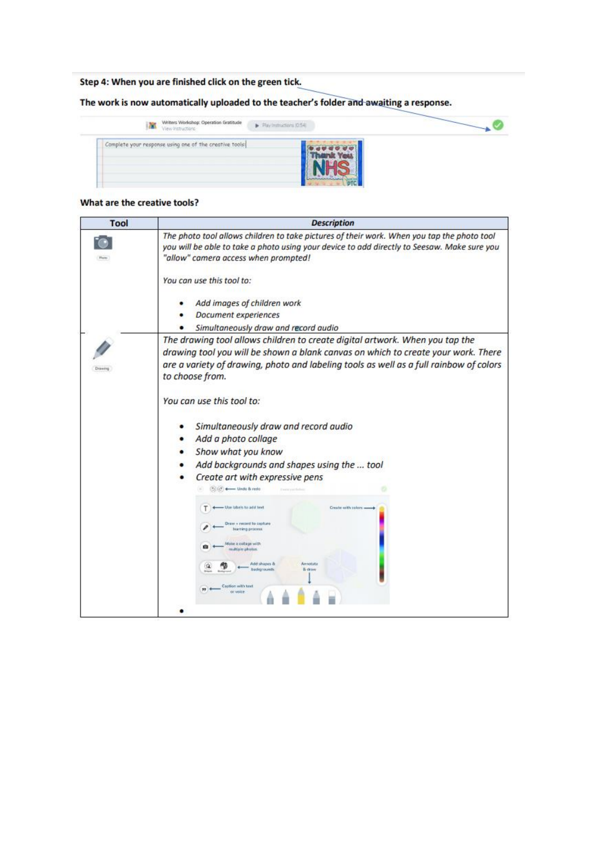# Step 4: When you are finished click on the green tick.

The work is now automatically uploaded to the teacher's folder and awaiting a response.

| Writers Workshop: Operation Gratitude<br>View Instructions | $\blacktriangleright$ Play Instructions (0.54) |  |
|------------------------------------------------------------|------------------------------------------------|--|
| Complete your response using one of the creative tools:    |                                                |  |

## What are the creative tools?

| <b>Description</b>                                                                                                                                                                                                                                                             |  |  |  |
|--------------------------------------------------------------------------------------------------------------------------------------------------------------------------------------------------------------------------------------------------------------------------------|--|--|--|
| The photo tool allows children to take pictures of their work. When you tap the photo tool<br>you will be able to take a photo using your device to add directly to Seesaw. Make sure you<br>"allow" camera access when prompted!                                              |  |  |  |
| You can use this tool to:<br>Add images of children work<br><b>Document experiences</b>                                                                                                                                                                                        |  |  |  |
| Simultaneously draw and record audio                                                                                                                                                                                                                                           |  |  |  |
| The drawing tool allows children to create digital artwork. When you tap the<br>drawing tool you will be shown a blank canvas on which to create your work. There<br>are a variety of drawing, photo and labeling tools as well as a full rainbow of colors<br>to choose from. |  |  |  |
| You can use this tool to:                                                                                                                                                                                                                                                      |  |  |  |
| Simultaneously draw and record audio                                                                                                                                                                                                                                           |  |  |  |
| Add a photo collage                                                                                                                                                                                                                                                            |  |  |  |
| Show what you know                                                                                                                                                                                                                                                             |  |  |  |
| Add backgrounds and shapes using the  tool                                                                                                                                                                                                                                     |  |  |  |
| Create art with expressive pens<br>Cold : 4- Undo & redo                                                                                                                                                                                                                       |  |  |  |
| T)<br>- Use labels to add text<br>Create with colors =<br>Draw + record to cigiture<br>haming process<br>Make a collage with<br>ŵ.<br>multiple photos<br>Add shapes &<br>Amobita<br>badgrounds.<br>& draw<br>Caption with text<br><b>ISE VISCA</b>                             |  |  |  |
|                                                                                                                                                                                                                                                                                |  |  |  |